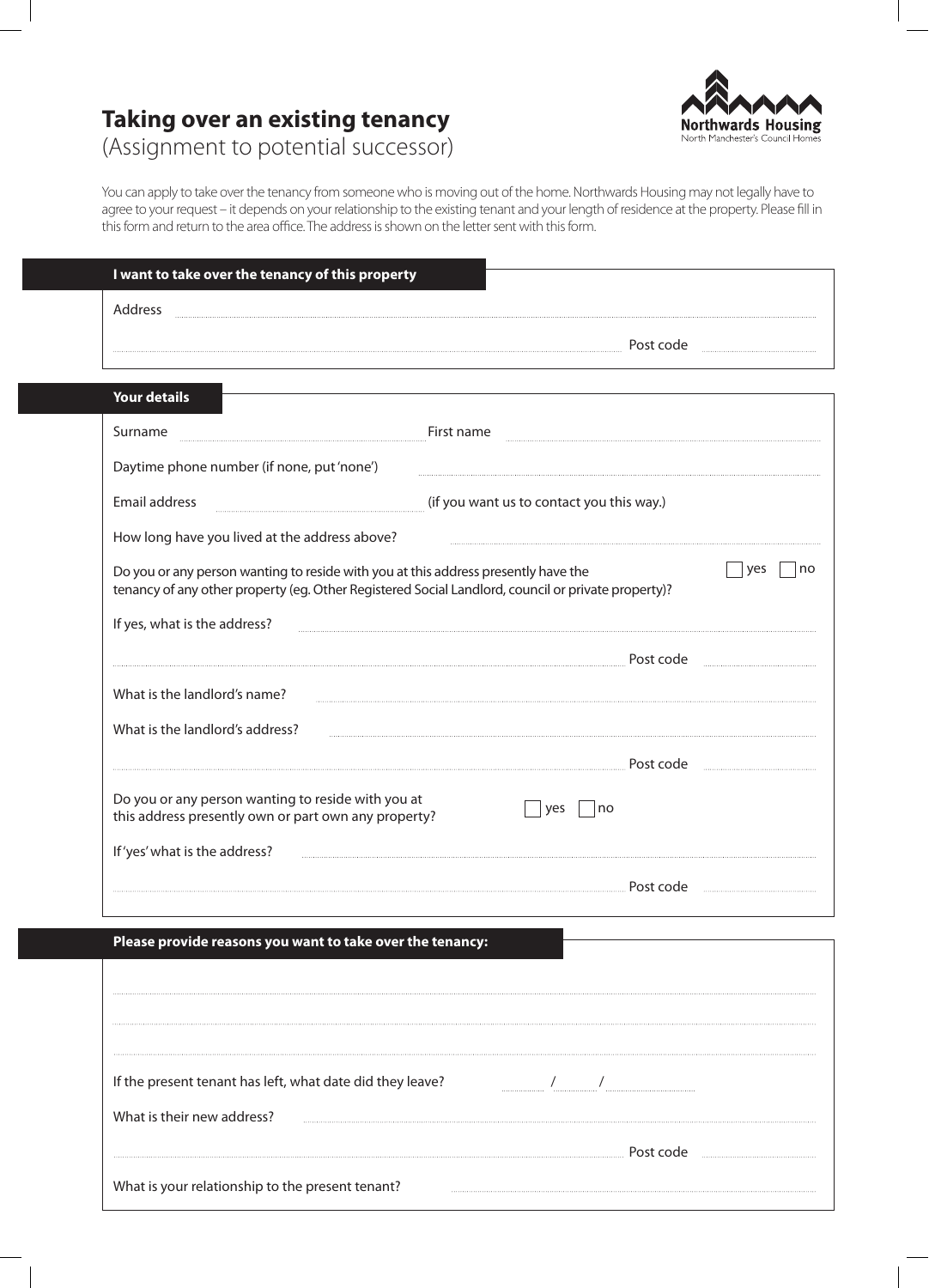## **Northwards Housing** North Manchester's Council Hom

# **Taking over an existing tenancy**

(Assignment to potential successor)

You can apply to take over the tenancy from someone who is moving out of the home. Northwards Housing may not legally have to agree to your request – it depends on your relationship to the existing tenant and your length of residence at the property. Please fill in this form and return to the area office. The address is shown on the letter sent with this form.

| I want to take over the tenancy of this property                                                                                                                                         |                                           |
|------------------------------------------------------------------------------------------------------------------------------------------------------------------------------------------|-------------------------------------------|
| Address                                                                                                                                                                                  |                                           |
|                                                                                                                                                                                          | Post code                                 |
| <b>Your details</b>                                                                                                                                                                      |                                           |
|                                                                                                                                                                                          |                                           |
| Surname                                                                                                                                                                                  | First name                                |
| Daytime phone number (if none, put 'none')                                                                                                                                               |                                           |
| Email address                                                                                                                                                                            | (if you want us to contact you this way.) |
| How long have you lived at the address above?                                                                                                                                            |                                           |
| Do you or any person wanting to reside with you at this address presently have the<br>tenancy of any other property (eq. Other Registered Social Landlord, council or private property)? | yes<br>no                                 |
| If yes, what is the address?                                                                                                                                                             |                                           |
|                                                                                                                                                                                          | Post code                                 |
| What is the landlord's name?                                                                                                                                                             |                                           |
| What is the landlord's address?                                                                                                                                                          |                                           |
|                                                                                                                                                                                          |                                           |
|                                                                                                                                                                                          | Post code                                 |
| Do you or any person wanting to reside with you at<br>this address presently own or part own any property?                                                                               | yes<br>no                                 |
| If 'yes' what is the address?                                                                                                                                                            |                                           |
|                                                                                                                                                                                          | Post code                                 |
|                                                                                                                                                                                          |                                           |
| Please provide reasons you want to take over the tenancy:                                                                                                                                |                                           |
|                                                                                                                                                                                          |                                           |
|                                                                                                                                                                                          |                                           |
|                                                                                                                                                                                          |                                           |
|                                                                                                                                                                                          |                                           |
| If the present tenant has left, what date did they leave?                                                                                                                                |                                           |
| What is their new address?                                                                                                                                                               |                                           |
|                                                                                                                                                                                          | Post code                                 |
| What is your relationship to the present tenant?                                                                                                                                         |                                           |